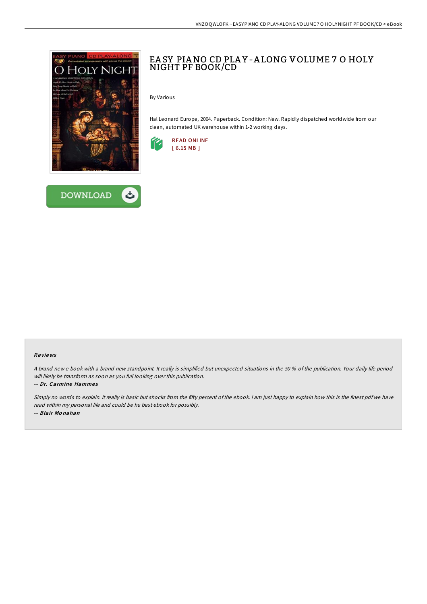



## EA SY PIANO CD PLAY-ALONG VOLUME 7 O HOLY NIGHT PF BOOK/CD

By Various

Hal Leonard Europe, 2004. Paperback. Condition: New. Rapidly dispatched worldwide from our clean, automated UK warehouse within 1-2 working days.



## Re views

A brand new <sup>e</sup> book with <sup>a</sup> brand new standpoint. It really is simplified but unexpected situations in the 50 % of the publication. Your daily life period will likely be transform as soon as you full looking over this publication.

-- Dr. Carmine Hammes

Simply no words to explain. It really is basic but shocks from the fifty percent of the ebook. I am just happy to explain how this is the finest pdf we have read within my personal life and could be he best ebook for possibly. -- Blair Mo nahan